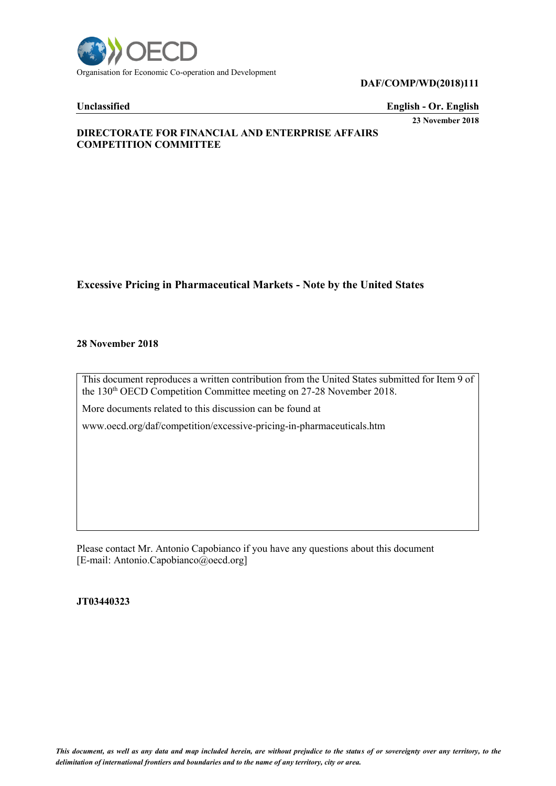

#### **DAF/COMP/WD(2018)111**

## **Unclassified English - Or. English**

**23 November 2018**

## **DIRECTORATE FOR FINANCIAL AND ENTERPRISE AFFAIRS COMPETITION COMMITTEE**

# **Excessive Pricing in Pharmaceutical Markets - Note by the United States**

#### **28 November 2018**

This document reproduces a written contribution from the United States submitted for Item 9 of the 130<sup>th</sup> OECD Competition Committee meeting on 27-28 November 2018.

More documents related to this discussion can be found at

www.oecd.org/daf/competition/excessive-pricing-in-pharmaceuticals.htm

Please contact Mr. Antonio Capobianco if you have any questions about this document [E-mail: Antonio.Capobianco@oecd.org]

**JT03440323**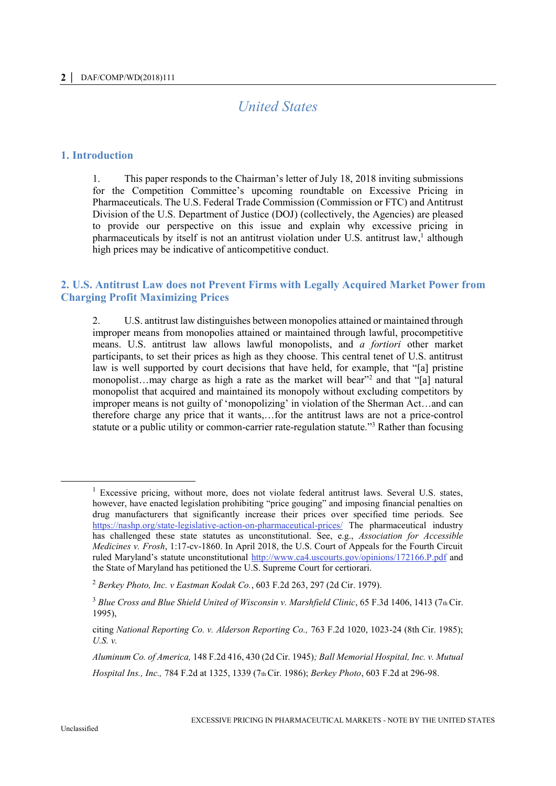# *United States*

#### **1. Introduction**

1. This paper responds to the Chairman's letter of July 18, 2018 inviting submissions for the Competition Committee's upcoming roundtable on Excessive Pricing in Pharmaceuticals. The U.S. Federal Trade Commission (Commission or FTC) and Antitrust Division of the U.S. Department of Justice (DOJ) (collectively, the Agencies) are pleased to provide our perspective on this issue and explain why excessive pricing in pharmaceuticals by itself is not an antitrust violation under U.S. antitrust law,<sup>1</sup> although high prices may be indicative of anticompetitive conduct.

# **2. U.S. Antitrust Law does not Prevent Firms with Legally Acquired Market Power from Charging Profit Maximizing Prices**

2. U.S. antitrust law distinguishes between monopolies attained or maintained through improper means from monopolies attained or maintained through lawful, procompetitive means. U.S. antitrust law allows lawful monopolists, and *a fortiori* other market participants, to set their prices as high as they choose. This central tenet of U.S. antitrust law is well supported by court decisions that have held, for example, that "[a] pristine monopolist...may charge as high a rate as the market will bear"<sup>2</sup> and that "[a] natural monopolist that acquired and maintained its monopoly without excluding competitors by improper means is not guilty of 'monopolizing' in violation of the Sherman Act…and can therefore charge any price that it wants,…for the antitrust laws are not a price-control statute or a public utility or common-carrier rate-regulation statute."<sup>3</sup> Rather than focusing

<sup>&</sup>lt;sup>1</sup> Excessive pricing, without more, does not violate federal antitrust laws. Several U.S. states, however, have enacted legislation prohibiting "price gouging" and imposing financial penalties on drug manufacturers that significantly increase their prices over specified time periods. See <https://nashp.org/state-legislative-action-on-pharmaceutical-prices/> The pharmaceutical industry has challenged these state statutes as unconstitutional. See, e.g., *Association for Accessible Medicines v. Frosh*, 1:17-cv-1860. In April 2018, the U.S. Court of Appeals for the Fourth Circuit ruled Maryland's statute unconstitutional<http://www.ca4.uscourts.gov/opinions/172166.P.pdf> and the State of Maryland has petitioned the U.S. Supreme Court for certiorari.

<sup>2</sup> *Berkey Photo, Inc. v Eastman Kodak Co.*, 603 F.2d 263, 297 (2d Cir. 1979).

<sup>3</sup> *Blue Cross and Blue Shield United of Wisconsin v. Marshfield Clinic*, 65 F.3d 1406, 1413 (7th Cir. 1995),

citing *National Reporting Co. v. Alderson Reporting Co.,* 763 F.2d 1020, 1023-24 (8th Cir. 1985); *U.S. v.*

*Aluminum Co. of America,* 148 F.2d 416, 430 (2d Cir. 1945)*; Ball Memorial Hospital, Inc. v. Mutual Hospital Ins., Inc.,* 784 F.2d at 1325, 1339 (7th Cir. 1986); *Berkey Photo*, 603 F.2d at 296-98.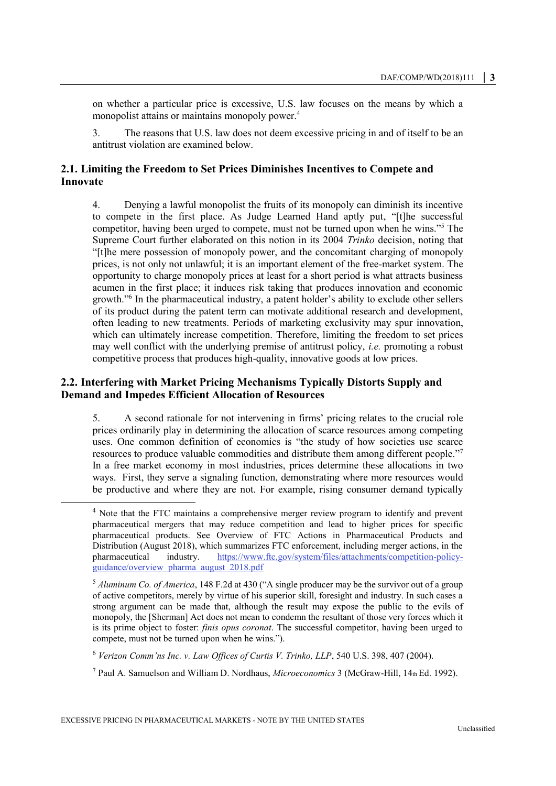on whether a particular price is excessive, U.S. law focuses on the means by which a monopolist attains or maintains monopoly power.<sup>4</sup>

3. The reasons that U.S. law does not deem excessive pricing in and of itself to be an antitrust violation are examined below.

# **2.1. Limiting the Freedom to Set Prices Diminishes Incentives to Compete and Innovate**

4. Denying a lawful monopolist the fruits of its monopoly can diminish its incentive to compete in the first place. As Judge Learned Hand aptly put, "[t]he successful competitor, having been urged to compete, must not be turned upon when he wins."<sup>5</sup> The Supreme Court further elaborated on this notion in its 2004 *Trinko* decision, noting that "[t]he mere possession of monopoly power, and the concomitant charging of monopoly prices, is not only not unlawful; it is an important element of the free-market system. The opportunity to charge monopoly prices at least for a short period is what attracts business acumen in the first place; it induces risk taking that produces innovation and economic growth."<sup>6</sup> In the pharmaceutical industry, a patent holder's ability to exclude other sellers of its product during the patent term can motivate additional research and development, often leading to new treatments. Periods of marketing exclusivity may spur innovation, which can ultimately increase competition. Therefore, limiting the freedom to set prices may well conflict with the underlying premise of antitrust policy, *i.e.* promoting a robust competitive process that produces high-quality, innovative goods at low prices.

# **2.2. Interfering with Market Pricing Mechanisms Typically Distorts Supply and Demand and Impedes Efficient Allocation of Resources**

5. A second rationale for not intervening in firms' pricing relates to the crucial role prices ordinarily play in determining the allocation of scarce resources among competing uses. One common definition of economics is "the study of how societies use scarce resources to produce valuable commodities and distribute them among different people."<sup>7</sup> In a free market economy in most industries, prices determine these allocations in two ways. First, they serve a signaling function, demonstrating where more resources would be productive and where they are not. For example, rising consumer demand typically

<sup>4</sup> Note that the FTC maintains a comprehensive merger review program to identify and prevent pharmaceutical mergers that may reduce competition and lead to higher prices for specific pharmaceutical products. See Overview of FTC Actions in Pharmaceutical Products and Distribution (August 2018), which summarizes FTC enforcement, including merger actions, in the pharmaceutical industry. https://www.ftc.gov/system/files/attachments/competition-policypharmaceutical industry. [https://www.ftc.gov/system/files/attachments/competition-policy](https://www.ftc.gov/system/files/attachments/competition-policy-guidance/overview_pharma_august_2018.pdf)[guidance/overview\\_pharma\\_august\\_2018.pdf](https://www.ftc.gov/system/files/attachments/competition-policy-guidance/overview_pharma_august_2018.pdf)

<sup>5</sup> *Aluminum Co. of America*, 148 F.2d at 430 ("A single producer may be the survivor out of a group of active competitors, merely by virtue of his superior skill, foresight and industry. In such cases a strong argument can be made that, although the result may expose the public to the evils of monopoly, the [Sherman] Act does not mean to condemn the resultant of those very forces which it is its prime object to foster: *finis opus coronat*. The successful competitor, having been urged to compete, must not be turned upon when he wins.").

<sup>6</sup> *Verizon Comm'ns Inc. v. Law Offices of Curtis V. Trinko, LLP*, 540 U.S. 398, 407 (2004).

<sup>7</sup> Paul A. Samuelson and William D. Nordhaus, *Microeconomics* 3 (McGraw-Hill, 14th Ed. 1992).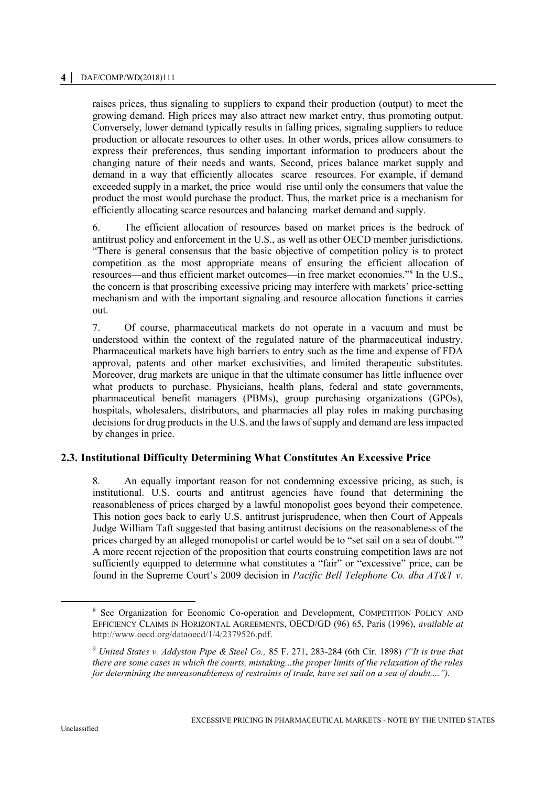#### **4 │** DAF/COMP/WD(2018)111

raises prices, thus signaling to suppliers to expand their production (output) to meet the growing demand. High prices may also attract new market entry, thus promoting output. Conversely, lower demand typically results in falling prices, signaling suppliers to reduce production or allocate resources to other uses. In other words, prices allow consumers to express their preferences, thus sending important information to producers about the changing nature of their needs and wants. Second, prices balance market supply and demand in a way that efficiently allocates scarce resources. For example, if demand exceeded supply in a market, the price would rise until only the consumers that value the product the most would purchase the product. Thus, the market price is a mechanism for efficiently allocating scarce resources and balancing market demand and supply.

6. The efficient allocation of resources based on market prices is the bedrock of antitrust policy and enforcement in the U.S., as well as other OECD member jurisdictions. "There is general consensus that the basic objective of competition policy is to protect competition as the most appropriate means of ensuring the efficient allocation of resources—and thus efficient market outcomes—in free market economies."<sup>8</sup> In the U.S., the concern is that proscribing excessive pricing may interfere with markets' price-setting mechanism and with the important signaling and resource allocation functions it carries out.

7. Of course, pharmaceutical markets do not operate in a vacuum and must be understood within the context of the regulated nature of the pharmaceutical industry. Pharmaceutical markets have high barriers to entry such as the time and expense of FDA approval, patents and other market exclusivities, and limited therapeutic substitutes. Moreover, drug markets are unique in that the ultimate consumer has little influence over what products to purchase. Physicians, health plans, federal and state governments, pharmaceutical benefit managers (PBMs), group purchasing organizations (GPOs), hospitals, wholesalers, distributors, and pharmacies all play roles in making purchasing decisions for drug products in the U.S. and the laws of supply and demand are less impacted by changes in price.

## **2.3. Institutional Difficulty Determining What Constitutes An Excessive Price**

8. An equally important reason for not condemning excessive pricing, as such, is institutional. U.S. courts and antitrust agencies have found that determining the reasonableness of prices charged by a lawful monopolist goes beyond their competence. This notion goes back to early U.S. antitrust jurisprudence, when then Court of Appeals Judge William Taft suggested that basing antitrust decisions on the reasonableness of the prices charged by an alleged monopolist or cartel would be to "set sail on a sea of doubt."<sup>9</sup> A more recent rejection of the proposition that courts construing competition laws are not sufficiently equipped to determine what constitutes a "fair" or "excessive" price, can be found in the Supreme Court's 2009 decision in *Pacific Bell Telephone Co. dba AT&T v.* 

<sup>8</sup> See Organization for Economic Co-operation and Development, COMPETITION POLICY AND EFFICIENCY CLAIMS IN HORIZONTAL AGREEMENTS, OECD/GD (96) 65, Paris (1996), *available at* http://www.oecd.org/dataoecd/1/4/2379526.pdf.

<sup>9</sup> *United States v. Addyston Pipe & Steel Co.,* 85 F. 271, 283-284 (6th Cir. 1898) *("It is true that there are some cases in which the courts, mistaking...the proper limits of the relaxation of the rules for determining the unreasonableness of restraints of trade, have set sail on a sea of doubt....").*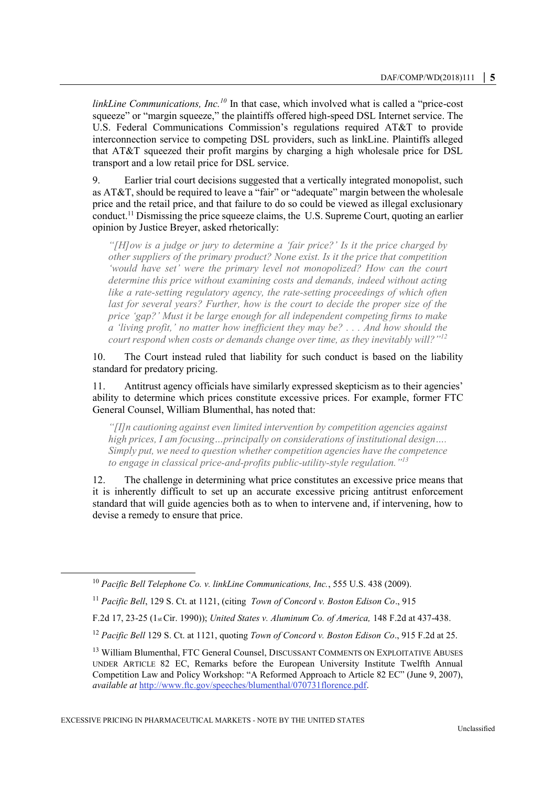*linkLine Communications, Inc.<sup>10</sup>* In that case, which involved what is called a "price-cost squeeze" or "margin squeeze," the plaintiffs offered high-speed DSL Internet service. The U.S. Federal Communications Commission's regulations required AT&T to provide interconnection service to competing DSL providers, such as linkLine. Plaintiffs alleged that AT&T squeezed their profit margins by charging a high wholesale price for DSL transport and a low retail price for DSL service.

9. Earlier trial court decisions suggested that a vertically integrated monopolist, such as AT&T, should be required to leave a "fair" or "adequate" margin between the wholesale price and the retail price, and that failure to do so could be viewed as illegal exclusionary conduct.<sup>11</sup> Dismissing the price squeeze claims, the U.S. Supreme Court, quoting an earlier opinion by Justice Breyer, asked rhetorically:

*"[H]ow is a judge or jury to determine a 'fair price?' Is it the price charged by other suppliers of the primary product? None exist. Is it the price that competition 'would have set' were the primary level not monopolized? How can the court determine this price without examining costs and demands, indeed without acting like a rate-setting regulatory agency, the rate-setting proceedings of which often* last for several years? Further, how is the court to decide the proper size of the *price 'gap?' Must it be large enough for all independent competing firms to make a 'living profit,' no matter how inefficient they may be? . . . And how should the court respond when costs or demands change over time, as they inevitably will?"<sup>12</sup>*

10. The Court instead ruled that liability for such conduct is based on the liability standard for predatory pricing.

11. Antitrust agency officials have similarly expressed skepticism as to their agencies' ability to determine which prices constitute excessive prices. For example, former FTC General Counsel, William Blumenthal, has noted that:

*"[I]n cautioning against even limited intervention by competition agencies against high prices, I am focusing…principally on considerations of institutional design…. Simply put, we need to question whether competition agencies have the competence to engage in classical price-and-profits public-utility-style regulation."<sup>13</sup>*

12. The challenge in determining what price constitutes an excessive price means that it is inherently difficult to set up an accurate excessive pricing antitrust enforcement standard that will guide agencies both as to when to intervene and, if intervening, how to devise a remedy to ensure that price.

<sup>10</sup> *Pacific Bell Telephone Co. v. linkLine Communications, Inc.*, 555 U.S. 438 (2009).

<sup>11</sup> *Pacific Bell*, 129 S. Ct. at 1121, (citing *Town of Concord v. Boston Edison Co*., 915

F.2d 17, 23-25 (1st Cir. 1990)); *United States v. Aluminum Co. of America,* 148 F.2d at 437-438.

<sup>12</sup> *Pacific Bell* 129 S. Ct. at 1121, quoting *Town of Concord v. Boston Edison Co*., 915 F.2d at 25.

<sup>&</sup>lt;sup>13</sup> William Blumenthal, FTC General Counsel, DISCUSSANT COMMENTS ON EXPLOITATIVE ABUSES UNDER ARTICLE 82 EC, Remarks before the European University Institute Twelfth Annual Competition Law and Policy Workshop: "A Reformed Approach to Article 82 EC" (June 9, 2007), *available at* [http://www.ftc.gov/speeches/blumenthal/070731florence.pdf.](http://www.ftc.gov/speeches/blumenthal/070731florence.pdf)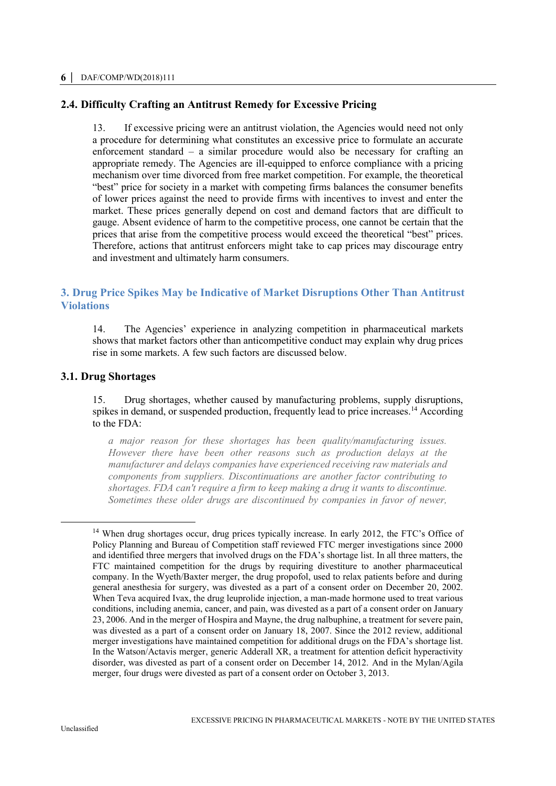## **2.4. Difficulty Crafting an Antitrust Remedy for Excessive Pricing**

13. If excessive pricing were an antitrust violation, the Agencies would need not only a procedure for determining what constitutes an excessive price to formulate an accurate enforcement standard – a similar procedure would also be necessary for crafting an appropriate remedy. The Agencies are ill-equipped to enforce compliance with a pricing mechanism over time divorced from free market competition. For example, the theoretical "best" price for society in a market with competing firms balances the consumer benefits of lower prices against the need to provide firms with incentives to invest and enter the market. These prices generally depend on cost and demand factors that are difficult to gauge. Absent evidence of harm to the competitive process, one cannot be certain that the prices that arise from the competitive process would exceed the theoretical "best" prices. Therefore, actions that antitrust enforcers might take to cap prices may discourage entry and investment and ultimately harm consumers.

# **3. Drug Price Spikes May be Indicative of Market Disruptions Other Than Antitrust Violations**

14. The Agencies' experience in analyzing competition in pharmaceutical markets shows that market factors other than anticompetitive conduct may explain why drug prices rise in some markets. A few such factors are discussed below.

## **3.1. Drug Shortages**

15. Drug shortages, whether caused by manufacturing problems, supply disruptions, spikes in demand, or suspended production, frequently lead to price increases.<sup>14</sup> According to the FDA:

*a major reason for these shortages has been quality/manufacturing issues. However there have been other reasons such as production delays at the manufacturer and delays companies have experienced receiving raw materials and components from suppliers. Discontinuations are another factor contributing to shortages. FDA can't require a firm to keep making a drug it wants to discontinue. Sometimes these older drugs are discontinued by companies in favor of newer,* 

<sup>&</sup>lt;sup>14</sup> When drug shortages occur, drug prices typically increase. In early 2012, the FTC's Office of Policy Planning and Bureau of Competition staff reviewed FTC merger investigations since 2000 and identified three mergers that involved drugs on the FDA's shortage list. In all three matters, the FTC maintained competition for the drugs by requiring divestiture to another pharmaceutical company. In the Wyeth/Baxter merger, the drug propofol, used to relax patients before and during general anesthesia for surgery, was divested as a part of a consent order on December 20, 2002. When Teva acquired Ivax, the drug leuprolide injection, a man-made hormone used to treat various conditions, including anemia, cancer, and pain, was divested as a part of a consent order on January 23, 2006. And in the merger of Hospira and Mayne, the drug nalbuphine, a treatment for severe pain, was divested as a part of a consent order on January 18, 2007. Since the 2012 review, additional merger investigations have maintained competition for additional drugs on the FDA's shortage list. In the Watson/Actavis merger, generic Adderall XR, a treatment for attention deficit hyperactivity disorder, was divested as part of a consent order on December 14, 2012. And in the Mylan/Agila merger, four drugs were divested as part of a consent order on October 3, 2013.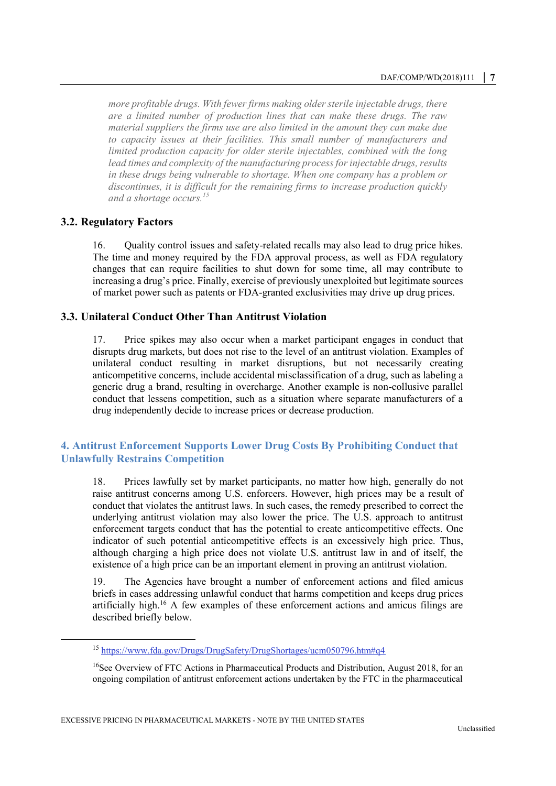*more profitable drugs. With fewer firms making older sterile injectable drugs, there are a limited number of production lines that can make these drugs. The raw material suppliers the firms use are also limited in the amount they can make due to capacity issues at their facilities. This small number of manufacturers and limited production capacity for older sterile injectables, combined with the long lead times and complexity of the manufacturing process for injectable drugs, results in these drugs being vulnerable to shortage. When one company has a problem or discontinues, it is difficult for the remaining firms to increase production quickly and a shortage occurs.<sup>15</sup>*

## **3.2. Regulatory Factors**

 $\overline{a}$ 

16. Quality control issues and safety-related recalls may also lead to drug price hikes. The time and money required by the FDA approval process, as well as FDA regulatory changes that can require facilities to shut down for some time, all may contribute to increasing a drug's price. Finally, exercise of previously unexploited but legitimate sources of market power such as patents or FDA-granted exclusivities may drive up drug prices.

## **3.3. Unilateral Conduct Other Than Antitrust Violation**

17. Price spikes may also occur when a market participant engages in conduct that disrupts drug markets, but does not rise to the level of an antitrust violation. Examples of unilateral conduct resulting in market disruptions, but not necessarily creating anticompetitive concerns, include accidental misclassification of a drug, such as labeling a generic drug a brand, resulting in overcharge. Another example is non-collusive parallel conduct that lessens competition, such as a situation where separate manufacturers of a drug independently decide to increase prices or decrease production.

## **4. Antitrust Enforcement Supports Lower Drug Costs By Prohibiting Conduct that Unlawfully Restrains Competition**

18. Prices lawfully set by market participants, no matter how high, generally do not raise antitrust concerns among U.S. enforcers. However, high prices may be a result of conduct that violates the antitrust laws. In such cases, the remedy prescribed to correct the underlying antitrust violation may also lower the price. The U.S. approach to antitrust enforcement targets conduct that has the potential to create anticompetitive effects. One indicator of such potential anticompetitive effects is an excessively high price. Thus, although charging a high price does not violate U.S. antitrust law in and of itself, the existence of a high price can be an important element in proving an antitrust violation.

19. The Agencies have brought a number of enforcement actions and filed amicus briefs in cases addressing unlawful conduct that harms competition and keeps drug prices artificially high.<sup>16</sup> A few examples of these enforcement actions and amicus filings are described briefly below.

<sup>15</sup> <https://www.fda.gov/Drugs/DrugSafety/DrugShortages/ucm050796.htm#q4>

<sup>&</sup>lt;sup>16</sup>See Overview of FTC Actions in Pharmaceutical Products and Distribution, August 2018, for an ongoing compilation of antitrust enforcement actions undertaken by the FTC in the pharmaceutical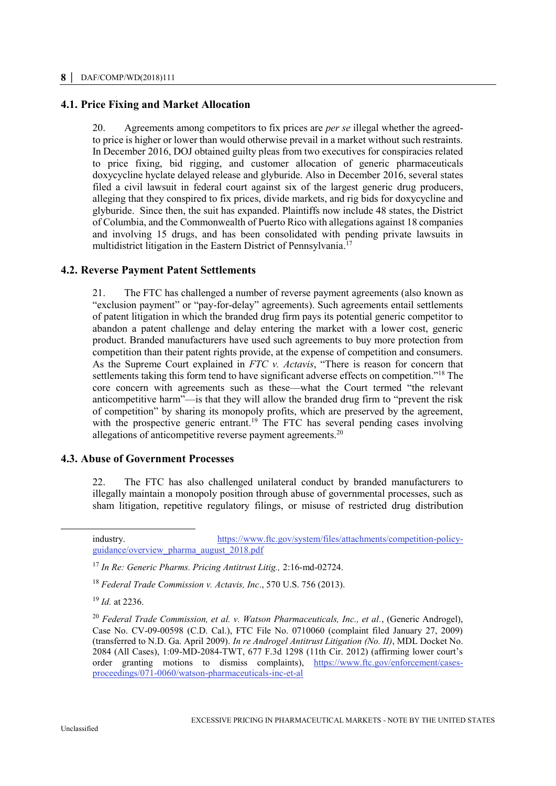## **4.1. Price Fixing and Market Allocation**

20. Agreements among competitors to fix prices are *per se* illegal whether the agreedto price is higher or lower than would otherwise prevail in a market without such restraints. In December 2016, DOJ obtained guilty pleas from two executives for conspiracies related to price fixing, bid rigging, and customer allocation of generic pharmaceuticals doxycycline hyclate delayed release and glyburide. Also in December 2016, several states filed a civil lawsuit in federal court against six of the largest generic drug producers, alleging that they conspired to fix prices, divide markets, and rig bids for doxycycline and glyburide. Since then, the suit has expanded. Plaintiffs now include 48 states, the District of Columbia, and the Commonwealth of Puerto Rico with allegations against 18 companies and involving 15 drugs, and has been consolidated with pending private lawsuits in multidistrict litigation in the Eastern District of Pennsylvania. 17

## **4.2. Reverse Payment Patent Settlements**

21. The FTC has challenged a number of reverse payment agreements (also known as "exclusion payment" or "pay-for-delay" agreements). Such agreements entail settlements of patent litigation in which the branded drug firm pays its potential generic competitor to abandon a patent challenge and delay entering the market with a lower cost, generic product. Branded manufacturers have used such agreements to buy more protection from competition than their patent rights provide, at the expense of competition and consumers. As the Supreme Court explained in *FTC v. Actavis*, "There is reason for concern that settlements taking this form tend to have significant adverse effects on competition."<sup>18</sup> The core concern with agreements such as these—what the Court termed "the relevant anticompetitive harm"—is that they will allow the branded drug firm to "prevent the risk of competition" by sharing its monopoly profits, which are preserved by the agreement, with the prospective generic entrant.<sup>19</sup> The FTC has several pending cases involving allegations of anticompetitive reverse payment agreements.<sup>20</sup>

#### **4.3. Abuse of Government Processes**

22. The FTC has also challenged unilateral conduct by branded manufacturers to illegally maintain a monopoly position through abuse of governmental processes, such as sham litigation, repetitive regulatory filings, or misuse of restricted drug distribution

<sup>19</sup> *Id.* at 2236.

industry. [https://www.ftc.gov/system/files/attachments/competition-policy](https://www.ftc.gov/system/files/attachments/competition-policy-guidance/overview_pharma_august_2018.pdf)[guidance/overview\\_pharma\\_august\\_2018.pdf](https://www.ftc.gov/system/files/attachments/competition-policy-guidance/overview_pharma_august_2018.pdf)

<sup>17</sup> *In Re: Generic Pharms. Pricing Antitrust Litig.,* 2:16-md-02724.

<sup>18</sup> *Federal Trade Commission v. Actavis, Inc*., 570 U.S. 756 (2013).

<sup>20</sup> *Federal Trade Commission, et al. v. Watson Pharmaceuticals, Inc., et al.*, (Generic Androgel), Case No. CV-09-00598 (C.D. Cal.), FTC File No. 0710060 (complaint filed January 27, 2009) (transferred to N.D. Ga. April 2009). *In re Androgel Antitrust Litigation (No. II)*, MDL Docket No. 2084 (All Cases), 1:09-MD-2084-TWT, 677 F.3d 1298 (11th Cir. 2012) (affirming lower court's order granting motions to dismiss complaints), [https://www.ftc.gov/enforcement/cases](https://www.ftc.gov/enforcement/cases-proceedings/071-0060/watson-pharmaceuticals-inc-et-al)[proceedings/071-0060/watson-pharmaceuticals-inc-et-al](https://www.ftc.gov/enforcement/cases-proceedings/071-0060/watson-pharmaceuticals-inc-et-al)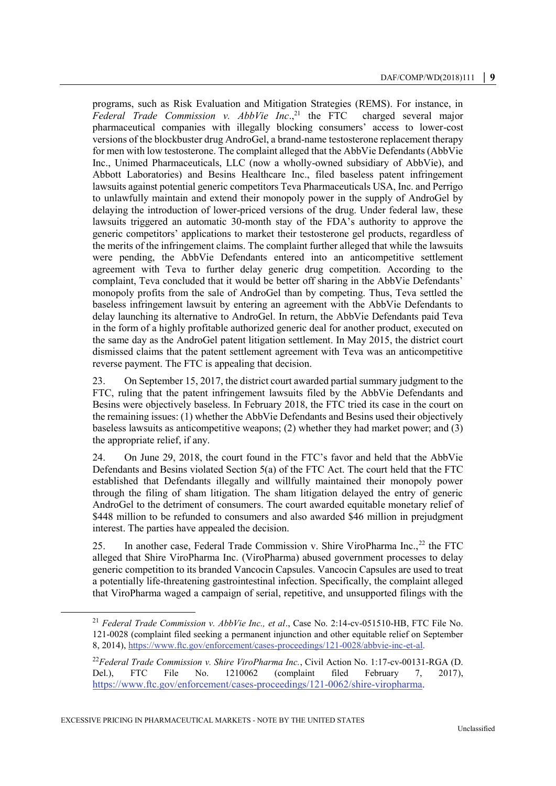programs, such as Risk Evaluation and Mitigation Strategies (REMS). For instance, in *Federal Trade Commission v. AbbVie Inc*., charged several major pharmaceutical companies with illegally blocking consumers' access to lower-cost versions of the blockbuster drug AndroGel, a brand-name testosterone replacement therapy for men with low testosterone. The complaint alleged that the AbbVie Defendants (AbbVie Inc., Unimed Pharmaceuticals, LLC (now a wholly-owned subsidiary of AbbVie), and Abbott Laboratories) and Besins Healthcare Inc., filed baseless patent infringement lawsuits against potential generic competitors Teva Pharmaceuticals USA, Inc. and Perrigo to unlawfully maintain and extend their monopoly power in the supply of AndroGel by delaying the introduction of lower-priced versions of the drug. Under federal law, these lawsuits triggered an automatic 30-month stay of the FDA's authority to approve the generic competitors' applications to market their testosterone gel products, regardless of the merits of the infringement claims. The complaint further alleged that while the lawsuits were pending, the AbbVie Defendants entered into an anticompetitive settlement agreement with Teva to further delay generic drug competition. According to the complaint, Teva concluded that it would be better off sharing in the AbbVie Defendants' monopoly profits from the sale of AndroGel than by competing. Thus, Teva settled the baseless infringement lawsuit by entering an agreement with the AbbVie Defendants to delay launching its alternative to AndroGel. In return, the AbbVie Defendants paid Teva in the form of a highly profitable authorized generic deal for another product, executed on the same day as the AndroGel patent litigation settlement. In May 2015, the district court dismissed claims that the patent settlement agreement with Teva was an anticompetitive reverse payment. The FTC is appealing that decision.

23. On September 15, 2017, the district court awarded partial summary judgment to the FTC, ruling that the patent infringement lawsuits filed by the AbbVie Defendants and Besins were objectively baseless. In February 2018, the FTC tried its case in the court on the remaining issues: (1) whether the AbbVie Defendants and Besins used their objectively baseless lawsuits as anticompetitive weapons; (2) whether they had market power; and (3) the appropriate relief, if any.

24. On June 29, 2018, the court found in the FTC's favor and held that the AbbVie Defendants and Besins violated Section 5(a) of the FTC Act. The court held that the FTC established that Defendants illegally and willfully maintained their monopoly power through the filing of sham litigation. The sham litigation delayed the entry of generic AndroGel to the detriment of consumers. The court awarded equitable monetary relief of \$448 million to be refunded to consumers and also awarded \$46 million in prejudgment interest. The parties have appealed the decision.

25. In another case, Federal Trade Commission v. Shire ViroPharma Inc.,<sup>22</sup> the FTC alleged that Shire ViroPharma Inc. (ViroPharma) abused government processes to delay generic competition to its branded Vancocin Capsules. Vancocin Capsules are used to treat a potentially life-threatening gastrointestinal infection. Specifically, the complaint alleged that ViroPharma waged a campaign of serial, repetitive, and unsupported filings with the

<sup>21</sup> *Federal Trade Commission v. AbbVie Inc., et al*., Case No. 2:14-cv-051510-HB, FTC File No. 121-0028 (complaint filed seeking a permanent injunction and other equitable relief on September 8, 2014)[, https://www.ftc.gov/enforcement/cases-proceedings/121-0028/abbvie-inc-et-al.](https://www.ftc.gov/enforcement/cases-proceedings/121-0028/abbvie-inc-et-al)

<sup>22</sup>*Federal Trade Commission v. Shire ViroPharma Inc.*, Civil Action No. 1:17-cv-00131-RGA (D. Del.), FTC File No. 1210062 (complaint filed February 7, 2017), [https://www.ftc.gov/enforcement/cases-proceedings/121-0062/shire-viropharma.](https://www.ftc.gov/enforcement/cases-proceedings/121-0062/shire-viropharma)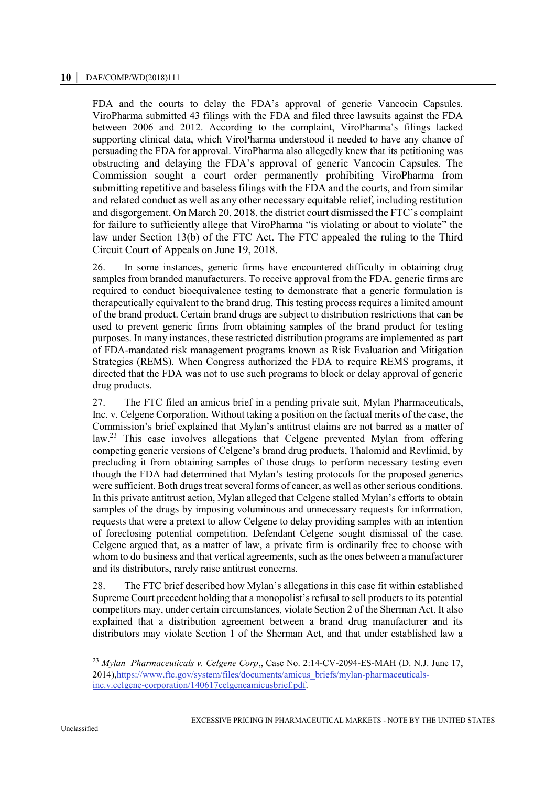FDA and the courts to delay the FDA's approval of generic Vancocin Capsules. ViroPharma submitted 43 filings with the FDA and filed three lawsuits against the FDA between 2006 and 2012. According to the complaint, ViroPharma's filings lacked supporting clinical data, which ViroPharma understood it needed to have any chance of persuading the FDA for approval. ViroPharma also allegedly knew that its petitioning was obstructing and delaying the FDA's approval of generic Vancocin Capsules. The Commission sought a court order permanently prohibiting ViroPharma from submitting repetitive and baseless filings with the FDA and the courts, and from similar and related conduct as well as any other necessary equitable relief, including restitution and disgorgement. On March 20, 2018, the district court dismissed the FTC's complaint for failure to sufficiently allege that ViroPharma "is violating or about to violate" the law under Section 13(b) of the FTC Act. The FTC appealed the ruling to the Third Circuit Court of Appeals on June 19, 2018.

26. In some instances, generic firms have encountered difficulty in obtaining drug samples from branded manufacturers. To receive approval from the FDA, generic firms are required to conduct bioequivalence testing to demonstrate that a generic formulation is therapeutically equivalent to the brand drug. This testing process requires a limited amount of the brand product. Certain brand drugs are subject to distribution restrictions that can be used to prevent generic firms from obtaining samples of the brand product for testing purposes. In many instances, these restricted distribution programs are implemented as part of FDA-mandated risk management programs known as Risk Evaluation and Mitigation Strategies (REMS). When Congress authorized the FDA to require REMS programs, it directed that the FDA was not to use such programs to block or delay approval of generic drug products.

27. The FTC filed an amicus brief in a pending private suit, Mylan Pharmaceuticals, Inc. v. Celgene Corporation. Without taking a position on the factual merits of the case, the Commission's brief explained that Mylan's antitrust claims are not barred as a matter of law.<sup>23</sup> This case involves allegations that Celgene prevented Mylan from offering competing generic versions of Celgene's brand drug products, Thalomid and Revlimid, by precluding it from obtaining samples of those drugs to perform necessary testing even though the FDA had determined that Mylan's testing protocols for the proposed generics were sufficient. Both drugs treat several forms of cancer, as well as other serious conditions. In this private antitrust action, Mylan alleged that Celgene stalled Mylan's efforts to obtain samples of the drugs by imposing voluminous and unnecessary requests for information, requests that were a pretext to allow Celgene to delay providing samples with an intention of foreclosing potential competition. Defendant Celgene sought dismissal of the case. Celgene argued that, as a matter of law, a private firm is ordinarily free to choose with whom to do business and that vertical agreements, such as the ones between a manufacturer and its distributors, rarely raise antitrust concerns.

28. The FTC brief described how Mylan's allegations in this case fit within established Supreme Court precedent holding that a monopolist's refusal to sell products to its potential competitors may, under certain circumstances, violate Section 2 of the Sherman Act. It also explained that a distribution agreement between a brand drug manufacturer and its distributors may violate Section 1 of the Sherman Act, and that under established law a

<sup>23</sup> *Mylan Pharmaceuticals v. Celgene Corp*,, Case No. 2:14-CV-2094-ES-MAH (D. N.J. June 17, 2014)[,https://www.ftc.gov/system/files/documents/amicus\\_briefs/mylan-pharmaceuticals](https://www.ftc.gov/system/files/documents/amicus_briefs/mylan-pharmaceuticals-inc.v.celgene-corporation/140617celgeneamicusbrief.pdf)[inc.v.celgene-corporation/140617celgeneamicusbrief.pdf.](https://www.ftc.gov/system/files/documents/amicus_briefs/mylan-pharmaceuticals-inc.v.celgene-corporation/140617celgeneamicusbrief.pdf)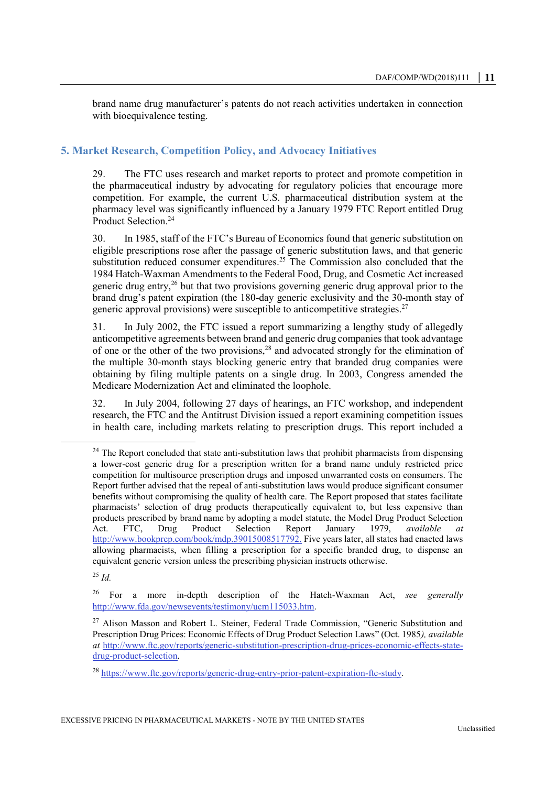brand name drug manufacturer's patents do not reach activities undertaken in connection with bioequivalence testing.

## **5. Market Research, Competition Policy, and Advocacy Initiatives**

29. The FTC uses research and market reports to protect and promote competition in the pharmaceutical industry by advocating for regulatory policies that encourage more competition. For example, the current U.S. pharmaceutical distribution system at the pharmacy level was significantly influenced by a January 1979 FTC Report entitled Drug Product Selection.<sup>24</sup>

30. In 1985, staff of the FTC's Bureau of Economics found that generic substitution on eligible prescriptions rose after the passage of generic substitution laws, and that generic substitution reduced consumer expenditures.<sup>25</sup> The Commission also concluded that the 1984 Hatch-Waxman Amendments to the Federal Food, Drug, and Cosmetic Act increased generic drug entry,<sup>26</sup> but that two provisions governing generic drug approval prior to the brand drug's patent expiration (the 180-day generic exclusivity and the 30-month stay of generic approval provisions) were susceptible to anticompetitive strategies.<sup>27</sup>

31. In July 2002, the FTC issued a report summarizing a lengthy study of allegedly anticompetitive agreements between brand and generic drug companies that took advantage of one or the other of the two provisions,<sup>28</sup> and advocated strongly for the elimination of the multiple 30-month stays blocking generic entry that branded drug companies were obtaining by filing multiple patents on a single drug. In 2003, Congress amended the Medicare Modernization Act and eliminated the loophole.

32. In July 2004, following 27 days of hearings, an FTC workshop, and independent research, the FTC and the Antitrust Division issued a report examining competition issues in health care, including markets relating to prescription drugs. This report included a

<sup>25</sup> *Id.*

<sup>&</sup>lt;sup>24</sup> The Report concluded that state anti-substitution laws that prohibit pharmacists from dispensing a lower-cost generic drug for a prescription written for a brand name unduly restricted price competition for multisource prescription drugs and imposed unwarranted costs on consumers. The Report further advised that the repeal of anti-substitution laws would produce significant consumer benefits without compromising the quality of health care. The Report proposed that states facilitate pharmacists' selection of drug products therapeutically equivalent to, but less expensive than products prescribed by brand name by adopting a model statute, the Model Drug Product Selection<br>Act. FTC, Drug Product Selection Report January 1979, *available at* Act. FTC, Drug Product Selection Report January 1979, *available at* [http://www.bookprep.com/book/mdp.39015008517792.](http://www.bookprep.com/book/mdp.39015008517792) Five years later, all states had enacted laws allowing pharmacists, when filling a prescription for a specific branded drug, to dispense an equivalent generic version unless the prescribing physician instructs otherwise.

<sup>26</sup> For a more in-depth description of the Hatch-Waxman Act, *see generally* [http://www.fda.gov/newsevents/testimony/ucm115033.htm.](http://www.fda.gov/newsevents/testimony/ucm115033.htm)

<sup>&</sup>lt;sup>27</sup> Alison Masson and Robert L. Steiner, Federal Trade Commission, "Generic Substitution and Prescription Drug Prices: Economic Effects of Drug Product Selection Laws" (Oct. 1985*), available at* [http://www.ftc.gov/reports/generic-substitution-prescription-drug-prices-economic-effects-state](http://www.ftc.gov/reports/generic-substitution-prescription-drug-prices-economic-effects-state-drug-product-selection)[drug-product-selection.](http://www.ftc.gov/reports/generic-substitution-prescription-drug-prices-economic-effects-state-drug-product-selection) 

<sup>28</sup> [https://www.ftc.gov/reports/generic-drug-entry-prior-patent-expiration-ftc-study.](https://www.ftc.gov/reports/generic-drug-entry-prior-patent-expiration-ftc-study)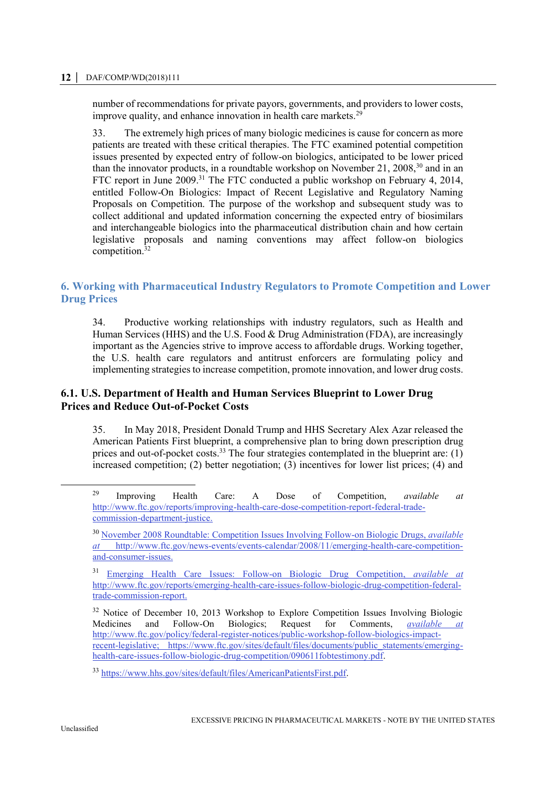#### **12 │** DAF/COMP/WD(2018)111

number of recommendations for private payors, governments, and providers to lower costs, improve quality, and enhance innovation in health care markets.<sup>29</sup>

33. The extremely high prices of many biologic medicines is cause for concern as more patients are treated with these critical therapies. The FTC examined potential competition issues presented by expected entry of follow-on biologics, anticipated to be lower priced than the innovator products, in a roundtable workshop on November 21, 2008,  $30$  and in an FTC report in June 2009.<sup>31</sup> The FTC conducted a public workshop on February 4, 2014, entitled Follow-On Biologics: Impact of Recent Legislative and Regulatory Naming Proposals on Competition. The purpose of the workshop and subsequent study was to collect additional and updated information concerning the expected entry of biosimilars and interchangeable biologics into the pharmaceutical distribution chain and how certain legislative proposals and naming conventions may affect follow-on biologics competition.<sup>32</sup>

# **6. Working with Pharmaceutical Industry Regulators to Promote Competition and Lower Drug Prices**

34. Productive working relationships with industry regulators, such as Health and Human Services (HHS) and the U.S. Food & Drug Administration (FDA), are increasingly important as the Agencies strive to improve access to affordable drugs. Working together, the U.S. health care regulators and antitrust enforcers are formulating policy and implementing strategies to increase competition, promote innovation, and lower drug costs.

# **6.1. U.S. Department of Health and Human Services Blueprint to Lower Drug Prices and Reduce Out-of-Pocket Costs**

35. In May 2018, President Donald Trump and HHS Secretary Alex Azar released the American Patients First blueprint, a comprehensive plan to bring down prescription drug prices and out-of-pocket costs.<sup>33</sup> The four strategies contemplated in the blueprint are:  $(1)$ increased competition; (2) better negotiation; (3) incentives for lower list prices; (4) and

<sup>29</sup> Improving Health Care: A Dose of Competition, *available at* [http://www.ftc.gov/reports/improving-health-care-dose-competition-report-federal-trade](http://www.ftc.gov/reports/improving-health-care-dose-competition-report-federal-trade-commission-department-justice)[commission-department-justice.](http://www.ftc.gov/reports/improving-health-care-dose-competition-report-federal-trade-commission-department-justice) 

<sup>30</sup> [November 2008 Roundtable: Competition Issues Involving Follow-on Biologic Drugs,](http://www.ftc.gov/news-events/events-calendar/2008/11/emerging-health-care-competition-and-consumer-issues) *available at* [http://www.ftc.gov/news-events/events-calendar/2008/11/emerging-health-care-competition](http://www.ftc.gov/news-events/events-calendar/2008/11/emerging-health-care-competition-and-consumer-issues)[and-consumer-issues.](http://www.ftc.gov/news-events/events-calendar/2008/11/emerging-health-care-competition-and-consumer-issues)

<sup>31</sup> [Emerging Health Care Issues: Follow-on Biologic Drug Competition,](http://www.ftc.gov/os/2009/06/P083901biologicsreport.pdf) *available at* [http://www.ftc.gov/reports/emerging-health-care-issues-follow-biologic-drug-competition-federal](http://www.ftc.gov/reports/emerging-health-care-issues-follow-biologic-drug-competition-federal-trade-commission-report)[trade-commission-report.](http://www.ftc.gov/reports/emerging-health-care-issues-follow-biologic-drug-competition-federal-trade-commission-report)

<sup>&</sup>lt;sup>32</sup> Notice of December 10, 2013 Workshop to Explore Competition Issues Involving Biologic Medicines and Follow-On Biologics; Request for Comments, *available at* [http://www.ftc.gov/policy/federal-register-notices/public-workshop-follow-biologics-impact](http://www.ftc.gov/policy/federal-register-notices/public-workshop-follow-biologics-impact-recent-legislative)[recent-legislative;](http://www.ftc.gov/policy/federal-register-notices/public-workshop-follow-biologics-impact-recent-legislative) [https://www.ftc.gov/sites/default/files/documents/public\\_statements/emerging](https://www.ftc.gov/sites/default/files/documents/public_statements/emerging-health-care-issues-follow-biologic-drug-competition/090611fobtestimony.pdf)[health-care-issues-follow-biologic-drug-competition/090611fobtestimony.pdf.](https://www.ftc.gov/sites/default/files/documents/public_statements/emerging-health-care-issues-follow-biologic-drug-competition/090611fobtestimony.pdf)

<sup>33</sup> [https://www.hhs.gov/sites/default/files/AmericanPatientsFirst.pdf.](https://www.hhs.gov/sites/default/files/AmericanPatientsFirst.pdf)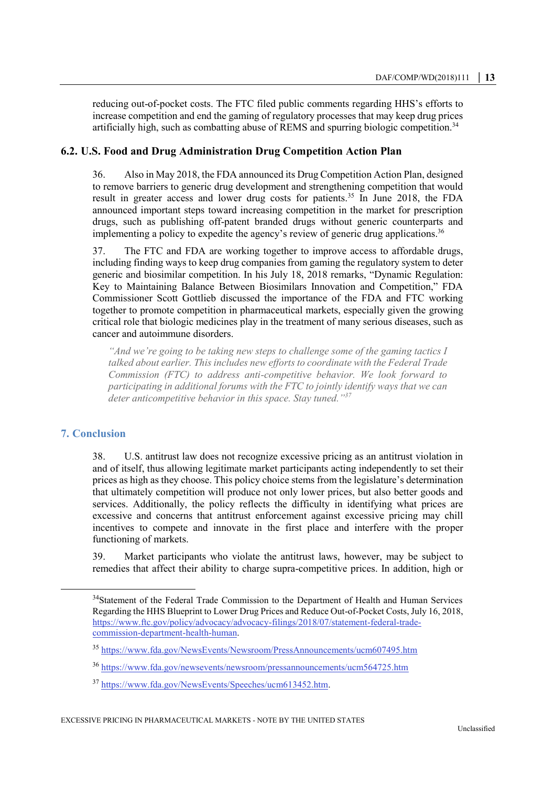reducing out-of-pocket costs. The FTC filed public comments regarding HHS's efforts to increase competition and end the gaming of regulatory processes that may keep drug prices artificially high, such as combatting abuse of REMS and spurring biologic competition.<sup>34</sup>

## **6.2. U.S. Food and Drug Administration Drug Competition Action Plan**

36. Also in May 2018, the FDA announced its Drug Competition Action Plan, designed to remove barriers to generic drug development and strengthening competition that would result in greater access and lower drug costs for patients.<sup>35</sup> In June 2018, the FDA announced important steps toward increasing competition in the market for prescription drugs, such as publishing off-patent branded drugs without generic counterparts and implementing a policy to expedite the agency's review of generic drug applications.<sup>36</sup>

37. The FTC and FDA are working together to improve access to affordable drugs, including finding ways to keep drug companies from gaming the regulatory system to deter generic and biosimilar competition. In his July 18, 2018 remarks, "Dynamic Regulation: Key to Maintaining Balance Between Biosimilars Innovation and Competition," FDA Commissioner Scott Gottlieb discussed the importance of the FDA and FTC working together to promote competition in pharmaceutical markets, especially given the growing critical role that biologic medicines play in the treatment of many serious diseases, such as cancer and autoimmune disorders.

*"And we're going to be taking new steps to challenge some of the gaming tactics I talked about earlier. This includes new efforts to coordinate with the Federal Trade Commission (FTC) to address anti-competitive behavior. We look forward to participating in additional forums with the FTC to jointly identify ways that we can deter anticompetitive behavior in this space. Stay tuned." 37*

## **7. Conclusion**

 $\overline{a}$ 

38. U.S. antitrust law does not recognize excessive pricing as an antitrust violation in and of itself, thus allowing legitimate market participants acting independently to set their prices as high as they choose. This policy choice stems from the legislature's determination that ultimately competition will produce not only lower prices, but also better goods and services. Additionally, the policy reflects the difficulty in identifying what prices are excessive and concerns that antitrust enforcement against excessive pricing may chill incentives to compete and innovate in the first place and interfere with the proper functioning of markets.

39. Market participants who violate the antitrust laws, however, may be subject to remedies that affect their ability to charge supra-competitive prices. In addition, high or

<sup>&</sup>lt;sup>34</sup>Statement of the Federal Trade Commission to the Department of Health and Human Services Regarding the HHS Blueprint to Lower Drug Prices and Reduce Out-of-Pocket Costs, July 16, 2018, [https://www.ftc.gov/policy/advocacy/advocacy-filings/2018/07/statement-federal-trade](https://www.ftc.gov/policy/advocacy/advocacy-filings/2018/07/statement-federal-trade-commission-department-health-human)[commission-department-health-human.](https://www.ftc.gov/policy/advocacy/advocacy-filings/2018/07/statement-federal-trade-commission-department-health-human)

<sup>35</sup> <https://www.fda.gov/NewsEvents/Newsroom/PressAnnouncements/ucm607495.htm>

<sup>36</sup> <https://www.fda.gov/newsevents/newsroom/pressannouncements/ucm564725.htm>

<sup>37</sup> [https://www.fda.gov/NewsEvents/Speeches/ucm613452.htm.](https://www.fda.gov/NewsEvents/Speeches/ucm613452.htm)